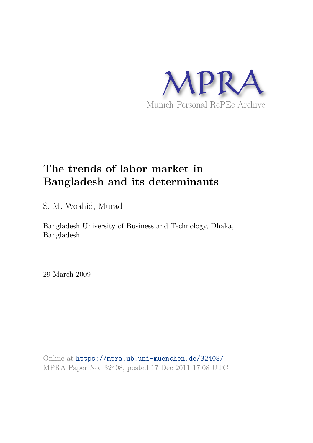

# **The trends of labor market in Bangladesh and its determinants**

S. M. Woahid, Murad

Bangladesh University of Business and Technology, Dhaka, Bangladesh

29 March 2009

Online at https://mpra.ub.uni-muenchen.de/32408/ MPRA Paper No. 32408, posted 17 Dec 2011 17:08 UTC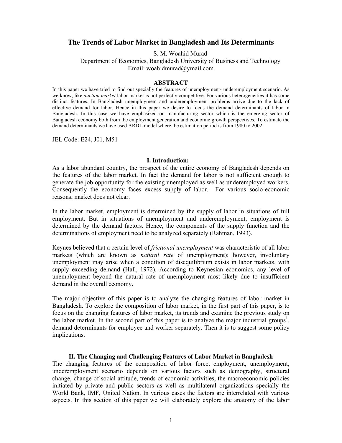# **The Trends of Labor Market in Bangladesh and Its Determinants**

S. M. Woahid Murad

Department of Economics, Bangladesh University of Business and Technology Email: woahidmurad@ymail.com

#### **ABSTRACT**

In this paper we have tried to find out specially the features of unemployment- underemployment scenario. As we know, like *auction market* labor market is not perfectly competitive. For various heterogeneities it has some distinct features. In Bangladesh unemployment and underemployment problems arrive due to the lack of effective demand for labor. Hence in this paper we desire to focus the demand determinants of labor in Bangladesh. In this case we have emphasized on manufacturing sector which is the emerging sector of Bangladesh economy both from the employment generation and economic growth perspectives. To estimate the demand determinants we have used ARDL model where the estimation period is from 1980 to 2002.

JEL Code: E24, J01, M51

## **I. Introduction:**

As a labor abundant country, the prospect of the entire economy of Bangladesh depends on the features of the labor market. In fact the demand for labor is not sufficient enough to generate the job opportunity for the existing unemployed as well as underemployed workers. Consequently the economy faces excess supply of labor. For various socio-economic reasons, market does not clear.

In the labor market, employment is determined by the supply of labor in situations of full employment. But in situations of unemployment and underemployment, employment is determined by the demand factors. Hence, the components of the supply function and the determinations of employment need to be analyzed separately (Rahman, 1993).

Keynes believed that a certain level of *frictional unemployment* was characteristic of all labor markets (which are known as *natural rate* of unemployment); however, involuntary unemployment may arise when a condition of disequilibrium exists in labor markets, with supply exceeding demand (Hall, 1972). According to Keynesian economics, any level of unemployment beyond the natural rate of unemployment most likely due to insufficient demand in the overall economy.

The major objective of this paper is to analyze the changing features of labor market in Bangladesh. To explore the composition of labor market, in the first part of this paper, is to focus on the changing features of labor market, its trends and examine the previous study on the labor market. In the second part of this paper is to analyze the major industrial groups<sup>1</sup>, demand determinants for employee and worker separately. Then it is to suggest some policy implications.

## **II. The Changing and Challenging Features of Labor Market in Bangladesh**

The changing features of the composition of labor force, employment, unemployment, underemployment scenario depends on various factors such as demography, structural change, change of social attitude, trends of economic activities, the macroeconomic policies initiated by private and public sectors as well as multilateral organizations specially the World Bank, IMF, United Nation. In various cases the factors are interrelated with various aspects. In this section of this paper we will elaborately explore the anatomy of the labor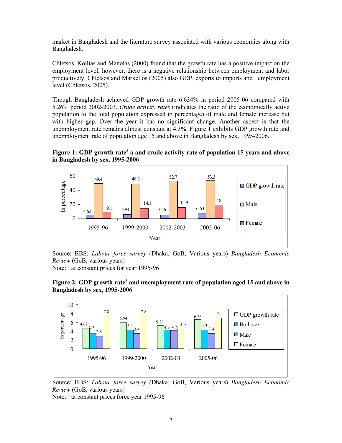market in Bangladesh and the literature survey associated with various economies along with Bangladesh.

Chletsos, Kollias and Manolas (2000) found that the growth rate has a positive impact on the employment level; however, there is a negative relationship between employment and labor productively. Chletsos and Markellos (2005) also GDP, exports to imports and employment level (Chletsos, 2005).

Though Bangladesh achieved GDP growth rate 6.634% in period 2005-06 compared with 5.26% period 2002-2003. *Crude activity rates* (indicates the ratio of the economically active population to the total population expressed in percentage) of male and female increase but with higher gap. Over the year it has no significant change. Another aspect is that the unemployment rate remains almost constant at 4.3%. Figure 1 exhibits GDP growth rate and unemployment rate of population age 15 and above in Bangladesh by sex, 1995-2006.

Figure 1: GDP growth rate<sup>a</sup> a and crude activity rate of population 15 years and above **in Bangladesh by sex, 1995-2006**



Source: BBS: *Labour force survey* (Dhaka, GoB, Various years) *Bangladesh Economic Review* (GoB, various years)

Note: <sup>a</sup> at constant prices for year 1995-96





Source: BBS: *Labour force survey* (Dhaka, GoB, Various years) *Bangladesh Economic Review* (GoB, various years)

Note: <sup>a</sup> at constant prices force year 1995-96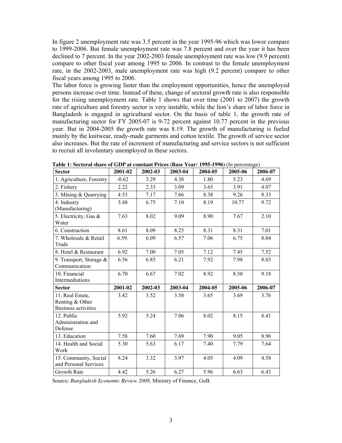In figure 2 unemployment rate was 3.5 percent in the year 1995-96 which was lower compare to 1999-2006. But female unemployment rate was 7.8 percent and over the year it has been declined to 7 percent. In the year 2002-2003 female unemployment rate was low (9.9 percent) compare to other fiscal year among 1995 to 2006. In contrast to the female unemployment rate, in the 2002-2003, male unemployment rate was high (9.2 percent) compare to other fiscal years among 1995 to 2006.

The labor force is growing faster than the employment opportunities, hence the unemployed persons increase over time. Instead of these, change of sectoral growth rate is also responsible for the rising unemployment rate. Table 1 shows that over time (2001 to 2007) the growth rate of agriculture and forestry sector is very instable, while the lion's share of labor force in Bangladesh is engaged in agricultural sector. On the basis of table 1, the growth rate of manufacturing sector for FY 2005-07 is 9-72 percent against 10.77 percent in the previous year. But in 2004-2005 the growth rate was 8.19. The growth of manufacturing is fueled mainly by the knitwear, ready-made garments and cotton textile. The growth of service sector also increases. But the rate of increment of manufacturing and service sectors is not sufficient to recruit all involuntary unemployed in these sectors.

| <b>Sector</b>                                                     | 2001-02 | 2002-03 | 2003-04 | 2004-05 | 2005-06 | 2006-07 |
|-------------------------------------------------------------------|---------|---------|---------|---------|---------|---------|
| 1. Agriculture, Forestry                                          | $-0.62$ | 3.29    | 4.38    | 1.80    | 5.23    | 4.69    |
| 2. Fishery                                                        | 2.22    | 2.33    | 3.09    | 3.65    | 3.91    | 4.07    |
| 3. Mining & Quarrying                                             | 4.53    | 7.17    | 7.66    | 8.38    | 9.26    | 8.33    |
| 4. Industry<br>(Manufacturing)                                    | 5.48    | 6.75    | 7.10    | 8.19    | 10.77   | 9.72    |
| 5. Electricity, Gas &<br>Water                                    | 7.63    | 8.02    | 9.09    | 8.90    | 7.67    | 2.10    |
| 6. Construction                                                   | 8.61    | 8.09    | 8.25    | 8.31    | 8.31    | 7.01    |
| 7. Wholesale & Retail<br>Trade                                    | 6.59.   | 6.09    | 6.57    | 7.06    | 6.75    | 8.04    |
| 8. Hotel & Restaurant                                             | 6.92    | 7.00    | 7.05    | 7.12    | 7.45    | 7.52    |
| 9. Transport, Storage &<br>Communication                          | 6.56    | 6.85    | 6.21    | 7.92    | 7.98    | 8.03    |
| 10. Financial<br>Intermediations                                  | 6.70    | 6.67    | 7.02    | 8.92    | 8.50    | 9.18    |
| <b>Sector</b>                                                     | 2001-02 | 2002-03 | 2003-04 | 2004-05 | 2005-06 | 2006-07 |
| 11. Real Estate,<br>Renting & Other<br><b>Business activities</b> | 3.42    | 3.52    | 3.58    | 3.65    | 3.69    | 3.76    |
| 12. Public<br>Administration and<br>Defense                       | 5.92    | 5.24    | 7.06    | 8.02    | 8.15    | 8.41    |
| 13. Education                                                     | 7.58    | 7.60    | 7.69    | 7.90    | 9.05    | 8.96    |
| 14. Health and Social<br>Work                                     | 5.30    | 5.63    | 6.17    | 7.40    | 7.79    | 7.64    |
| 15. Community, Social<br>and Personal Services                    | 8.24    | 3.32    | 3.97    | 4.05    | 4.09    | 4.58    |
| Growth Rate                                                       | 4.42    | 5.26    | 6.27    | 5.96    | 6.63    | 6.43    |

**Table 1: Sectoral share of GDP at constant Prices (Base Year: 1995-1996)** (In percentage)

Source: *Bangladesh Economic Review 2008*, Ministry of Finance, GoB.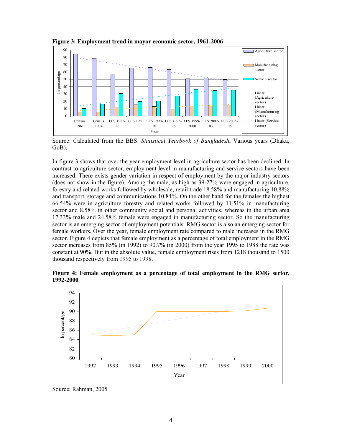

**Figure 3: Employment trend in mayor economic sector, 1961-2006** 

Source: Calculated from the BBS: *Statistical Yearbook of Bangladesh*, Various years (Dhaka, GoB).

In figure 3 shows that over the year employment level in agriculture sector has been declined. In contrast to agriculture sector, employment level in manufacturing and service sectors have been increased. There exists gender variation in respect of employment by the major industry sectors (does not show in the figure). Among the male, as high as 39-27% were engaged in agriculture, forestry and related works followed by wholesale, retail trade 18.58% and manufacturing 10.88% and transport, storage and communications 10.84%. On the other hand for the females the highest 66.54% were in agriculture forestry and related works followed by 11.51% in manufacturing sector and 8.58% in other community social and personal activities, whereas in the urban area 17.33% male and 24.58% female were engaged in manufacturing sector. So the manufacturing sector is an emerging sector of employment potentials. RMG sector is also an emerging sector for female workers. Over the year, female employment rate compared to male increases in the RMG sector. Figure 4 depicts that female employment as a percentage of total employment in the RMG sector increases from 85% (in 1992) to 90.7% (in 2000) from the year 1995 to 1988 the rate was constant at 90%. But in the absolute value, female employment rises from 1218 thousand to 1500 thousand respectively from 1995 to 1998.

**Figure 4: Female employment as a percentage of total employment in the RMG sector, 1992-2000** 



Source: Rahman, 2005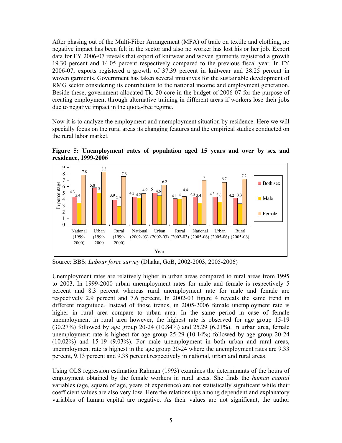After phasing out of the Multi-Fiber Arrangement (MFA) of trade on textile and clothing, no negative impact has been felt in the sector and also no worker has lost his or her job. Export data for FY 2006-07 reveals that export of knitwear and woven garments registered a growth 19.30 percent and 14.05 percent respectively compared to the previous fiscal year. In FY 2006-07, exports registered a growth of 37.39 percent in knitwear and 38.25 percent in woven garments. Government has taken several initiatives for the sustainable development of RMG sector considering its contribution to the national income and employment generation. Beside these, government allocated Tk. 20 core in the budget of 2006-07 for the purpose of creating employment through alternative training in different areas if workers lose their jobs due to negative impact in the quota-free regime.

Now it is to analyze the employment and unemployment situation by residence. Here we will specially focus on the rural areas its changing features and the empirical studies conducted on the rural labor market.



**Figure 5: Unemployment rates of population aged 15 years and over by sex and residence, 1999-2006** 

Source: BBS: *Labour force survey* (Dhaka, GoB, 2002-2003, 2005-2006)

Unemployment rates are relatively higher in urban areas compared to rural areas from 1995 to 2003. In 1999-2000 urban unemployment rates for male and female is respectively 5 percent and 8.3 percent whereas rural unemployment rate for male and female are respectively 2.9 percent and 7.6 percent. In 2002-03 figure 4 reveals the same trend in different magnitude. Instead of those trends, in 2005-2006 female unemployment rate is higher in rural area compare to urban area. In the same period in case of female unemployment in rural area however, the highest rate is observed for age group 15-19 (30.27%) followed by age group 20-24 (10.84%) and 25.29 (6.21%). In urban area, female unemployment rate is highest for age group 25-29 (10.14%) followed by age group 20-24 (10.02%) and 15-19 (9.03%). For male unemployment in both urban and rural areas, unemployment rate is highest in the age group 20-24 where the unemployment rates are 9.33 percent, 9.13 percent and 9.38 percent respectively in national, urban and rural areas.

Using OLS regression estimation Rahman (1993) examines the determinants of the hours of employment obtained by the female workers in rural areas. She finds the *human capital* variables (age, square of age, years of experience) are not statistically significant while their coefficient values are also very low. Here the relationships among dependent and explanatory variables of human capital are negative. As their values are not significant, the author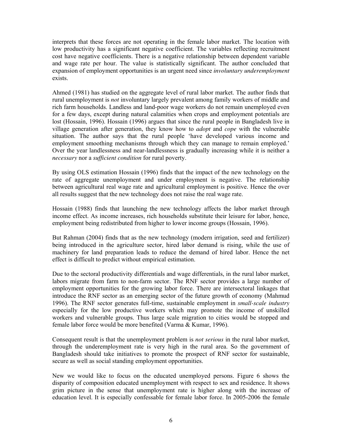interprets that these forces are not operating in the female labor market. The location with low productivity has a significant negative coefficient. The variables reflecting recruitment cost have negative coefficients. There is a negative relationship between dependent variable and wage rate per hour. The value is statistically significant. The author concluded that expansion of employment opportunities is an urgent need since *involuntary underemployment*  exists.

Ahmed (1981) has studied on the aggregate level of rural labor market. The author finds that rural unemployment is *not* involuntary largely prevalent among family workers of middle and rich farm households. Landless and land-poor wage workers do not remain unemployed even for a few days, except during natural calamities when crops and employment potentials are lost (Hossain, 1996). Hossain (1996) argues that since the rural people in Bangladesh live in village generation after generation, they know how to *adopt* and *cope* with the vulnerable situation. The author says that the rural people 'have developed various income and employment smoothing mechanisms through which they can manage to remain employed.' Over the year landlessness and near-landlessness is gradually increasing while it is neither a *necessary* nor a *sufficient condition* for rural poverty.

By using OLS estimation Hossain (1996) finds that the impact of the new technology on the rate of aggregate unemployment and under employment is negative. The relationship between agricultural real wage rate and agricultural employment is positive. Hence the over all results suggest that the new technology does not raise the real wage rate.

Hossain (1988) finds that launching the new technology affects the labor market through income effect. As income increases, rich households substitute their leisure for labor, hence, employment being redistributed from higher to lower income groups (Hossain, 1996).

But Rahman (2004) finds that as the new technology (modern irrigation, seed and fertilizer) being introduced in the agriculture sector, hired labor demand is rising, while the use of machinery for land preparation leads to reduce the demand of hired labor. Hence the net effect is difficult to predict without empirical estimation.

Due to the sectoral productivity differentials and wage differentials, in the rural labor market, labors migrate from farm to non-farm sector. The RNF sector provides a large number of employment opportunities for the growing labor force. There are intersectoral linkages that introduce the RNF sector as an emerging sector of the future growth of economy (Mahmud 1996). The RNF sector generates full-time, sustainable employment in *small-scale industry* especially for the low productive workers which may promote the income of unskilled workers and vulnerable groups. Thus large scale migration to cities would be stopped and female labor force would be more benefited (Varma & Kumar, 1996).

Consequent result is that the unemployment problem is *not serious* in the rural labor market, through the underemployment rate is very high in the rural area. So the government of Bangladesh should take initiatives to promote the prospect of RNF sector for sustainable, secure as well as social standing employment opportunities.

New we would like to focus on the educated unemployed persons. Figure 6 shows the disparity of composition educated unemployment with respect to sex and residence. It shows grim picture in the sense that unemployment rate is higher along with the increase of education level. It is especially confessable for female labor force. In 2005-2006 the female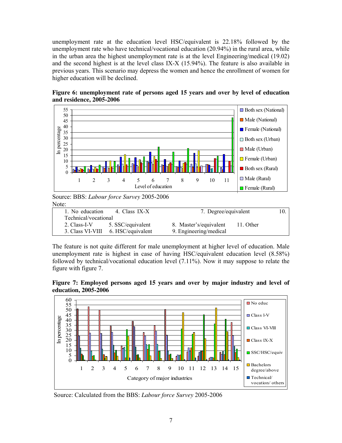unemployment rate at the education level HSC/equivalent is 22.18% followed by the unemployment rate who have technical/vocational education (20.94%) in the rural area, while in the urban area the highest unemployment rate is at the level Engineering/medical (19.02) and the second highest is at the level class IX-X (15.94%). The feature is also available in previous years. This scenario may depress the women and hence the enrollment of women for higher education will be declined.





Source: BBS: *Labour force Survey* 2005-2006 Note:

| 1. No education      | 4. Class IX-X     | 7. Degree/equivalent   |           | 10. |
|----------------------|-------------------|------------------------|-----------|-----|
| Technical/vocational |                   |                        |           |     |
| 2. Class-I-V         | 5. SSC/equivalent | 8. Master's/equivalent | 11. Other |     |
| 3. Class VI-VIII     | 6. HSC/equivalent | 9. Engineering/medical |           |     |
|                      |                   |                        |           |     |

The feature is not quite different for male unemployment at higher level of education. Male unemployment rate is highest in case of having HSC/equivalent education level (8.58%) followed by technical/vocational education level (7.11%). Now it may suppose to relate the figure with figure 7.

**Figure 7: Employed persons aged 15 years and over by major industry and level of education, 2005-2006** 



Source: Calculated from the BBS: *Labour force Survey* 2005-2006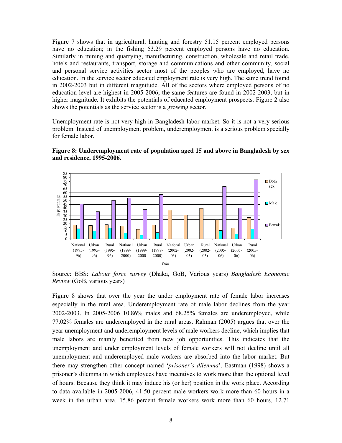Figure 7 shows that in agricultural, hunting and forestry 51.15 percent employed persons have no education; in the fishing 53.29 percent employed persons have no education. Similarly in mining and quarrying, manufacturing, construction, wholesale and retail trade, hotels and restaurants, transport, storage and communications and other community, social and personal service activities sector most of the peoples who are employed, have no education. In the service sector educated employment rate is very high. The same trend found in 2002-2003 but in different magnitude. All of the sectors where employed persons of no education level are highest in 2005-2006; the same features are found in 2002-2003, but in higher magnitude. It exhibits the potentials of educated employment prospects. Figure 2 also shows the potentials as the service sector is a growing sector.

Unemployment rate is not very high in Bangladesh labor market. So it is not a very serious problem. Instead of unemployment problem, underemployment is a serious problem specially for female labor.





Source: BBS: *Labour force survey* (Dhaka, GoB, Various years) *Bangladesh Economic Review* (GoB, various years)

Figure 8 shows that over the year the under employment rate of female labor increases especially in the rural area. Underemployment rate of male labor declines from the year 2002-2003. In 2005-2006 10.86% males and 68.25% females are underemployed, while 77.02% females are underemployed in the rural areas. Rahman (2005) argues that over the year unemployment and underemployment levels of male workers decline, which implies that male labors are mainly benefited from new job opportunities. This indicates that the unemployment and under employment levels of female workers will not decline until all unemployment and underemployed male workers are absorbed into the labor market. But there may strengthen other concept named '*prisoner's dilemma*'. Eastman (1998) shows a prisoner's dilemma in which employees have incentives to work more than the optional level of hours. Because they think it may induce his (or her) position in the work place. According to data available in 2005-2006, 41.50 percent male workers work more than 60 hours in a week in the urban area. 15.86 percent female workers work more than 60 hours, 12.71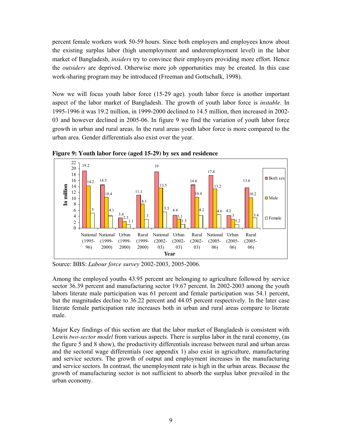percent female workers work 50-59 hours. Since both employers and employees know about the existing surplus labor (high unemployment and underemployment level) in the labor market of Bangladesh, *insiders* try to convince their employers providing more effort. Hence the *outsiders* are deprived. Otherwise more job opportunities may be created. In this case work-sharing program may be introduced (Freeman and Gottschalk, 1998).

Now we will focus youth labor force (15-29 age). youth labor force is another important aspect of the labor market of Bangladesh. The growth of youth labor force is *instable.* In 1995-1996 it was 19.2 million, in 1999-2000 declined to 14.5 million, then increased in 2002- 03 and however declined in 2005-06. In figure 9 we find the variation of youth labor force growth in urban and rural areas. In the rural areas youth labor force is more compared to the urban area. Gender differentials also exist over the year.



**Figure 9: Youth labor force (aged 15-29) by sex and residence** 

Source: BBS: *Labour force survey* 2002-2003, 2005-2006.

Among the employed youths 43.95 percent are belonging to agriculture followed by service sector 36.39 percent and manufacturing sector 19.67 percent. In 2002-2003 among the youth labors literate male participation was 61 percent and female participation was 54.1 percent, but the magnitudes decline to 36.22 percent and 44.05 percent respectively. In the later case literate female participation rate increases both in urban and rural areas compare to literate male.

Major Key findings of this section are that the labor market of Bangladesh is consistent with Lewis *two-sector model* from various aspects. There is surplus labor in the rural economy, (as the figure 5 and 8 show), the productivity differentials increase between rural and urban areas and the sectoral wage differentials (see appendix 1) also exist in agriculture, manufacturing and service sectors. The growth of output and employment increases in the manufacturing and service sectors. In contrast, the unemployment rate is high in the urban areas. Because the growth of manufacturing sector is not sufficient to absorb the surplus labor prevailed in the urban economy.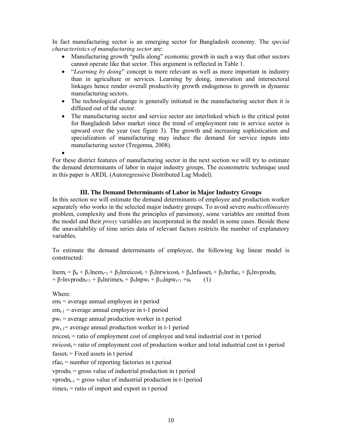In fact manufacturing sector is an emerging sector for Bangladesh economy. The *special characteristics of manufacturing sector* are:

- Manufacturing growth "pulls along" economic growth in such a way that other sectors cannot operate like that sector. This argument is reflected in Table 1.
- "*Learning by doing*" concept is more relevant as well as more important in industry than in agriculture or services. Learning by doing, innovation and intersectoral linkages hence render overall productivity growth endogenous to growth in dynamic manufacturing sectors.
- The technological change is generally initiated in the manufacturing sector then it is diffused out of the sector.
- The manufacturing sector and service sector are interlinked which is the critical point for Bangladesh labor market since the trend of employment rate in service sector is upward over the year (see figure 3). The growth and increasing sophistication and specialization of manufacturing may induce the demand for service inputs into manufacturing sector (Tregenna, 2008).

•

For these district features of manufacturing sector in the next section we will try to estimate the demand determinants of labor in major industry groups. The econometric technique used in this paper is ARDL (Autoregressive Distributed Lag Model).

## **III. The Demand Determinants of Labor in Major Industry Groups**

In this section we will estimate the demand determinants of employee and production worker separately who works in the selected major industry groups. To avoid severe *multicollinearity* problem, complexity and from the principles of parsimony, some variables are omitted from the model and their *proxy* variables are incorporated in the model in some cases. Beside these the unavailability of time series data of relevant factors restricts the number of explanatory variables.

To estimate the demand determinants of employee, the following log linear model is constructed:

lnem<sub>t</sub> =  $\beta_0 + \beta_1$ lnem<sub>t-1</sub> +  $\beta_2$ lnreicost<sub>t</sub> +  $\beta_3$ lnrwicost<sub>t</sub> +  $\beta_4$ lnfasset<sub>t</sub> +  $\beta_5$ lnrfac<sub>t</sub> +  $\beta_6$ lnvprodn<sub>t</sub>  $+ \beta_7$ lnvprodn<sub>t-1</sub> + β<sub>8</sub>lnrimex<sub>t</sub> + β<sub>9</sub>lnpw<sub>t</sub> + β<sub>10</sub>lnpw<sub>t-1</sub> +u<sub>t</sub> (1)

Where:

 $em_t$  = average annual employee in t period

 $em_{t-1}$  = average annual employee in t-1 period

 $pw_t$  = average annual production worker in t period

 $pw_{t-1}$  = average annual production worker in t-1 period

 $reicost_t$  = ratio of employment cost of employee and total industrial cost in t period

 $rwicost_t =$  ratio of employment cost of production worker and total industrial cost in t period

 $fasset<sub>t</sub> = Fixed assets in t period$ 

 $rfac_t$  = number of reporting factories in t period

 $vprod<sub>t</sub>$  = gross value of industrial production in t period

 $vprod_{t-1}$  = gross value of industrial production in t-1 period

 $rimex_t$  = ratio of import and export in t period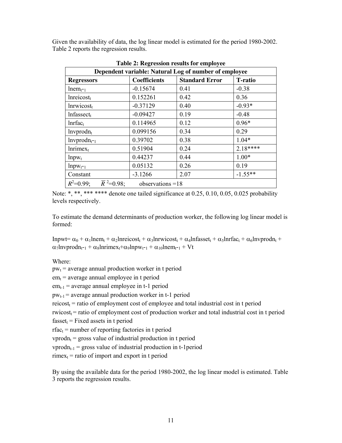Given the availability of data, the log linear model is estimated for the period 1980-2002. Table 2 reports the regression results.

| Dependent variable: Natural Log of number of employee         |                     |                       |                |
|---------------------------------------------------------------|---------------------|-----------------------|----------------|
| <b>Regressors</b>                                             | <b>Coefficients</b> | <b>Standard Error</b> | <b>T-ratio</b> |
| $l$ nem $_{t=1}$                                              | $-0.15674$          | 0.41                  | $-0.38$        |
| Inreicost <sub>t</sub>                                        | 0.152261            | 0.42                  | 0.36           |
| Inrwicos <sub>t</sub>                                         | $-0.37129$          | 0.40                  | $-0.93*$       |
| $Infasset_t$                                                  | $-0.09427$          | 0.19                  | $-0.48$        |
| $Inffac_t$                                                    | 0.114965            | 0.12                  | $0.96*$        |
| lnvprod <sub>t</sub>                                          | 0.099156            | 0.34                  | 0.29           |
| $lnvprod_{t=1}$                                               | 0.39702             | 0.38                  | $1.04*$        |
| Inrimex <sub>t</sub>                                          | 0.51904             | 0.24                  | $2.18***$      |
| $lnpw_t$                                                      | 0.44237             | 0.44                  | $1.00*$        |
| $lnpw_{t-1}$                                                  | 0.05132             | 0.26                  | 0.19           |
| Constant                                                      | $-3.1266$           | 2.07                  | $-1.55**$      |
| $\overline{R}^2$ =0.98;<br>$R^2=0.99$ ;<br>observations $=18$ |                     |                       |                |

**Table 2: Regression results for employee** 

Note: \*, \*\*, \*\*\* \*\*\*\* denote one tailed significance at 0.25, 0.10, 0.05, 0.025 probability levels respectively.

To estimate the demand determinants of production worker, the following log linear model is formed:

Inpwt=  $\alpha_0$  +  $\alpha_1$ lnem<sub>t</sub> +  $\alpha_2$ lnreicost<sub>t</sub> +  $\alpha_3$ lnrwicost<sub>t</sub> +  $\alpha_4$ lnfasset<sub>t</sub> +  $\alpha_5$ lnrfac<sub>t</sub> +  $\alpha_6$ lnvprodn<sub>t</sub> +  $\alpha_7$ lnvprodn<sub>t-1</sub> +  $\alpha_8$ lnrimex<sub>t</sub>+ $\alpha_9$ lnpw<sub>t-1</sub> +  $\alpha_{10}$ lnem<sub>t-1</sub> + Vt

Where:

 $pw_t$  = average annual production worker in t period

 $em_t$  = average annual employee in t period

 $em_{t-1}$  = average annual employee in t-1 period

 $pw_{t-1}$  = average annual production worker in t-1 period

 $reicost_t$  = ratio of employment cost of employee and total industrial cost in t period

 $rwicost_t = ratio of employment cost of production worker and total industrial cost in t period$ 

 $fasset_t = Fixed assets in t period$ 

 $rfac_t$  = number of reporting factories in t period

 $vprod<sub>t</sub> = gross value of industrial production in t period$ 

 $vprod_{t-1}$  = gross value of industrial production in t-1period

 $rimex_t$  = ratio of import and export in t period

By using the available data for the period 1980-2002, the log linear model is estimated. Table 3 reports the regression results.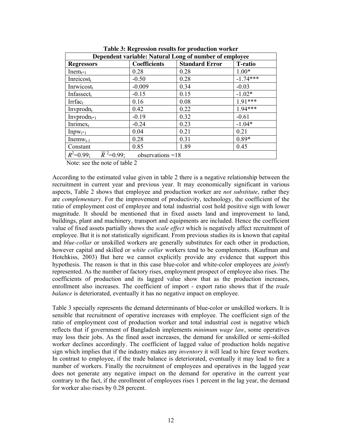| Dependent variable: Natural Long of number of employee        |                     |                       |                |
|---------------------------------------------------------------|---------------------|-----------------------|----------------|
| <b>Regressors</b>                                             | <b>Coefficients</b> | <b>Standard Error</b> | <b>T-ratio</b> |
| Inem $_{t-1}$                                                 | 0.28                | 0.28                  | $1.00*$        |
| Inreicost                                                     | $-0.50$             | 0.28                  | $-1.74***$     |
| Inrwicost $t$                                                 | $-0.009$            | 0.34                  | $-0.03$        |
| Infassect $t$                                                 | $-0.15$             | 0.15                  | $-1.02*$       |
| $Irrfac_{t}$                                                  | 0.16                | 0.08                  | $1.91***$      |
| Invprodn $t$                                                  | 0.42                | 0.22                  | $1.94***$      |
| Invprodn $_{t=1}$                                             | $-0.19$             | 0.32                  | $-0.61$        |
| Inrime $x_t$                                                  | $-0.24$             | 0.23                  | $-1.04*$       |
| $Input_{t-1}$                                                 | 0.04                | 0.21                  | 0.21           |
| $Inemw_{t-1}$                                                 | 0.28                | 0.31                  | $0.89*$        |
| Constant                                                      | 0.85                | 1.89                  | 0.45           |
| $\overline{R}^2$ =0.99;<br>$R^2=0.99$ ;<br>observations $=18$ |                     |                       |                |

**Table 3: Regression results for production worker** 

Note: see the note of table 2

According to the estimated value given in table 2 there is a negative relationship between the recruitment in current year and previous year. It may economically significant in various aspects, Table 2 shows that employee and production worker are *not substitute*, rather they are *complementary*. For the improvement of productivity, technology, the coefficient of the ratio of employment cost of employee and total industrial cost hold positive sign with lower magnitude. It should be mentioned that in fixed assets land and improvement to land, buildings, plant and machinery, transport and equipments are included. Hence the coefficient value of fixed assets partially shows the *scale effect* which is negatively affect recruitment of employee. But it is not statistically significant. From previous studies its is known that capital and *blue-collar* or unskilled workers are generally substitutes for each other in production, however capital and skilled or *white collar* workers tend to be complements. (Kaufman and Hotchkiss, 2003) But here we cannot explicitly provide any evidence that support this hypothesis. The reason is that in this case blue-color and white-color employees are *jointly*  represented. As the number of factory rises, employment prospect of employee also rises. The coefficients of production and its lagged value show that as the production increases, enrollment also increases. The coefficient of import - export ratio shows that if the *trade balance* is deteriorated, eventually it has no negative impact on employee.

Table 3 specially represents the demand determinants of blue-color or unskilled workers. It is sensible that recruitment of operative increases with employee. The coefficient sign of the ratio of employment cost of production worker and total industrial cost is negative which reflects that if government of Bangladesh implements *minimum wage law*, some operatives may loss their jobs. As the fined asset increases, the demand for unskilled or semi-skilled worker declines accordingly. The coefficient of lagged value of production holds negative sign which implies that if the industry makes any *inventory* it will lead to hire fewer workers. In contrast to employee, if the trade balance is deteriorated, eventually it may lead to fire a number of workers. Finally the recruitment of employees and operatives in the lagged year does not generate any negative impact on the demand for operative in the current year contrary to the fact, if the enrollment of employees rises 1 percent in the lag year, the demand for worker also rises by 0.28 percent.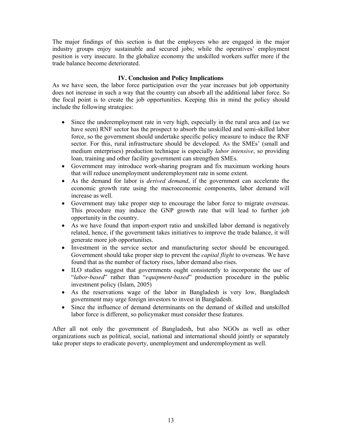The major findings of this section is that the employees who are engaged in the major industry groups enjoy sustainable and secured jobs; while the operatives' employment position is very insecure. In the globalize economy the unskilled workers suffer more if the trade balance become deteriorated.

# **IV. Conclusion and Policy Implications**

As we have seen, the labor force participation over the year increases but job opportunity does not increase in such a way that the country can absorb all the additional labor force. So the focal point is to create the job opportunities. Keeping this in mind the policy should include the following strategies:

- Since the underemployment rate in very high, especially in the rural area and (as we have seen) RNF sector has the prospect to absorb the unskilled and semi-skilled labor force, so the government should undertake specific policy measure to induce the RNF sector. For this, rural infrastructure should be developed. As the SMEs' (small and medium enterprises) production technique is especially *labor intensive*, so providing loan, training and other facility government can strengthen SMEs.
- Government may introduce work-sharing program and fix maximum working hours that will reduce unemployment underemployment rate in some extent.
- As the demand for labor is *derived demand*, if the government can accelerate the economic growth rate using the macroeconomic components, labor demand will increase as well.
- Government may take proper step to encourage the labor force to migrate overseas. This procedure may induce the GNP growth rate that will lead to further job opportunity in the country.
- As we have found that import-export ratio and unskilled labor demand is negatively related, hence, if the government takes initiatives to improve the trade balance, it will generate more job opportunities.
- Investment in the service sector and manufacturing sector should be encouraged. Government should take proper step to prevent the *capital flight* to overseas. We have found that as the number of factory rises, labor demand also rises.
- ILO studies suggest that governments ought consistently to incorporate the use of "*labor-based*" rather than "*equipment-based*" production procedure in the public investment policy (Islam, 2005)
- As the reservations wage of the labor in Bangladesh is very low, Bangladesh government may urge foreign investors to invest in Bangladesh.
- Since the influence of demand determinants on the demand of skilled and unskilled labor force is different, so policymaker must consider these features.

After all not only the government of Bangladesh, but also NGOs as well as other organizations such as political, social, national and international should jointly or separately take proper steps to eradicate poverty, unemployment and underemployment as well.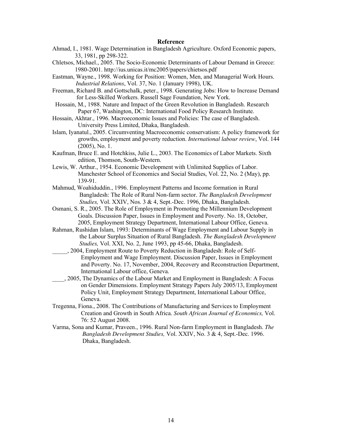## **Reference**

- Ahmad, I., 1981. Wage Determination in Bangladesh Agriculture. Oxford Economic papers, 33, 1981, pp 298-322.
- Chletsos, Michael., 2005. The Socio-Economic Determinants of Labour Demand in Greece: 1980-2001. http://ius.unicas.it/mc2005/papers/chietsos.pdf
- Eastman, Wayne., 1998. Working for Position: Women, Men, and Managerial Work Hours. *Industrial Relations*, Vol. 37, No. 1 (January 1998), UK.
- Freeman, Richard B. and Gottschalk, peter., 1998. Generating Jobs: How to Increase Demand for Less-Skilled Workers. Russell Sage Foundation, New York.
- Hossain, M., 1988. Nature and Impact of the Green Revolution in Bangladesh. Research Paper 67, Washington, DC: International Food Policy Research Institute.
- Hossain, Akhtar., 1996. Macroeconomic Issues and Policies: The case of Bangladesh. University Press Limited, Dhaka, Bangladesh.
- Islam, Iyanatul., 2005. Circumventing Macroeconomic conservatism: A policy framework for growths, employment and poverty reduction. *International labour review*, Vol. 144 (2005), No. 1.
- Kaufman, Bruce E. and Hotchkiss, Julie L., 2003. The Economics of Labor Markets. Sixth edition, Thomson, South-Western.
- Lewis, W. Arthur., 1954. Economic Development with Unlimited Supplies of Labor. Manchester School of Economics and Social Studies, Vol. 22, No. 2 (May), pp. 139-91.
- Mahmud, Woahiduddin., 1996. Employment Patterns and Income formation in Rural Bangladesh: The Role of Rural Non-farm sector. *The Bangladesh Development Studies,* Vol. XXIV, Nos. 3 & 4, Sept.-Dec. 1996, Dhaka, Bangladesh.
- Osmani, S. R., 2005. The Role of Employment in Promoting the Millennium Development Goals. Discussion Paper, Issues in Employment and Poverty. No. 18, October, 2005, Employment Strategy Department, International Labour Office, Geneva.
- Rahman, Rushidan Islam, 1993: Determinants of Wage Employment and Labour Supply in the Labour Surplus Situation of Rural Bangladesh. *The Bangladesh Development Studies,* Vol. XXI, No. 2, June 1993, pp 45-66, Dhaka, Bangladesh.
- \_\_\_\_\_, 2004, Employment Route to Poverty Reduction in Bangladesh: Role of Self- Employment and Wage Employment. Discussion Paper, Issues in Employment and Poverty. No. 17, November, 2004, Recovery and Reconstruction Department, International Labour office, Geneva.
- \_\_\_\_, 2005, The Dynamics of the Labour Market and Employment in Bangladesh: A Focus on Gender Dimensions. Employment Strategy Papers July 2005/13, Employment Policy Unit, Employment Strategy Department, International Labour Office, Geneva.
- Tregenna, Fiona., 2008. The Contributions of Manufacturing and Services to Employment Creation and Growth in South Africa. *South African Journal of Economics,* Vol. 76: 52 August 2008.
- Varma, Sona and Kumar, Praveen., 1996. Rural Non-farm Employment in Bangladesh. *The Bangladesh Development Studies,* Vol. XXIV, No. 3 & 4, Sept.-Dec. 1996. Dhaka, Bangladesh.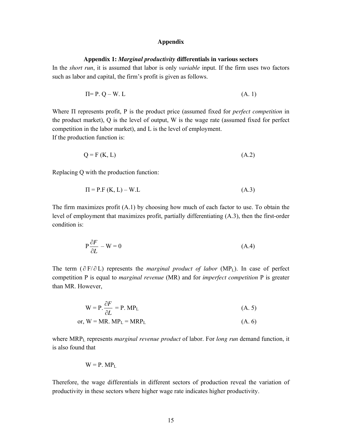#### **Appendix**

#### **Appendix 1:** *Marginal productivity* **differentials in various sectors**

In the *short run*, it is assumed that labor is only *variable* input. If the firm uses two factors such as labor and capital, the firm's profit is given as follows.

$$
\Pi = P. Q - W. L \tag{A. 1}
$$

Where Π represents profit, P is the product price (assumed fixed for *perfect competition* in the product market), Q is the level of output, W is the wage rate (assumed fixed for perfect competition in the labor market), and L is the level of employment.

If the production function is:

$$
Q = F(K, L) \tag{A.2}
$$

Replacing Q with the production function:

$$
\Pi = P.F(K, L) - W.L \tag{A.3}
$$

The firm maximizes profit (A.1) by choosing how much of each factor to use. To obtain the level of employment that maximizes profit, partially differentiating (A.3), then the first-order condition is:

$$
P\frac{\partial F}{\partial L} - W = 0\tag{A.4}
$$

The term ( $\partial$ F/ $\partial$ L) represents the *marginal product of labor* (MP<sub>L</sub>). In case of perfect competition P is equal to *marginal revenue* (MR) and for *imperfect competition* P is greater than MR. However,

$$
W = P \cdot \frac{\partial F}{\partial L} = P. MP_{L}
$$
 (A. 5)

or, 
$$
W = MR
$$
.  $MP_L = MRP_L$  (A. 6)

where MRPL represents *marginal revenue product* of labor. For *long run* demand function, it is also found that

$$
W = P. MPL
$$

Therefore, the wage differentials in different sectors of production reveal the variation of productivity in these sectors where higher wage rate indicates higher productivity.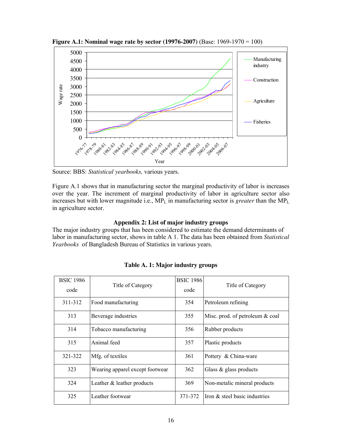

**Figure A.1: Nominal wage rate by sector (19976-2007)** (Base: 1969-1970 = 100)

Source: BBS: *Statistical yearbooks,* various years.

Figure A.1 shows that in manufacturing sector the marginal productivity of labor is increases over the year. The increment of marginal productivity of labor in agriculture sector also increases but with lower magnitude i.e.,  $MP_L$  in manufacturing sector is *greater* than the  $MP_L$ in agriculture sector.

## **Appendix 2: List of major industry groups**

The major industry groups that has been considered to estimate the demand determinants of labor in manufacturing sector, shows in table A 1. The data has been obtained from *Statistical Yearbooks* of Bangladesh Bureau of Statistics in various years.

| <b>BSIC 1986</b><br>code | Title of Category               | <b>BSIC 1986</b><br>code | Title of Category               |
|--------------------------|---------------------------------|--------------------------|---------------------------------|
| 311-312                  | Food manufacturing              | 354                      | Petroleum refining              |
| 313                      | Beverage industries             | 355                      | Misc. prod. of petroleum & coal |
| 314                      | Tobacco manufacturing           | 356                      | Rubber products                 |
| 315                      | Animal feed                     | 357                      | Plastic products                |
| 321-322                  | Mfg. of textiles                | 361                      | Pottery & China-ware            |
| 323                      | Wearing apparel except footwear | 362                      | Glass $\&$ glass products       |
| 324                      | Leather & leather products      | 369                      | Non-metalic mineral products    |
| 325                      | Leather footwear                | 371-372                  | Iron & steel basic industries   |

**Table A. 1: Major industry groups**